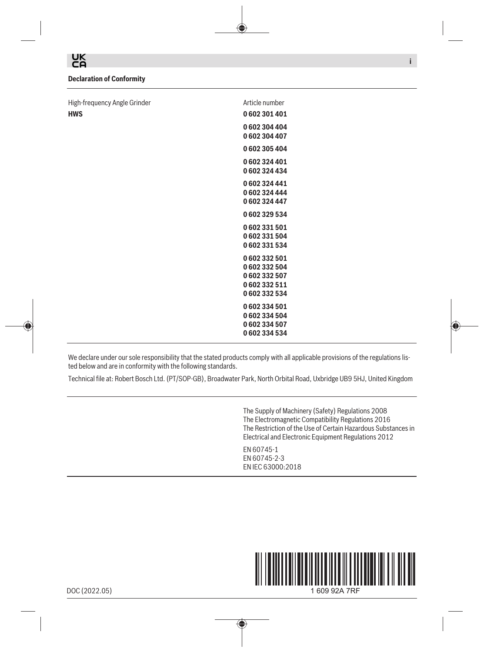UK<br>CA

## **Declaration of Conformity**

| High-frequency Angle Grinder | Article number |
|------------------------------|----------------|
| <b>HWS</b>                   | 0602301401     |
|                              | 0602304404     |
|                              | 0602304407     |
|                              | 0602305404     |
|                              | 0602324401     |
|                              | 0602324434     |
|                              | 0602324441     |
|                              | 0602324444     |
|                              | 0602324447     |
|                              | 0602329534     |
|                              | 0602331501     |
|                              | 0602331504     |
|                              | 0602331534     |
|                              | 0602332501     |
|                              | 0602332504     |
|                              | 0602332507     |
|                              | 0602332511     |
|                              | 0602332534     |
|                              | 0602334501     |
|                              | 0602334504     |
|                              | 0602334507     |
|                              | 0602334534     |

We declare under our sole responsibility that the stated products comply with all applicable provisions of the regulations listed below and are in conformity with the following standards.

Technical file at: Robert Bosch Ltd. (PT/SOP-GB), Broadwater Park, North Orbital Road, Uxbridge UB9 5HJ, United Kingdom

⊕

The Supply of Machinery (Safety) Regulations 2008 The Electromagnetic Compatibility Regulations 2016 The Restriction of the Use of Certain Hazardous Substances in Electrical and Electronic Equipment Regulations 2012

**i**

EN 60745-1 EN 60745-2-3 EN IEC 63000:2018



DOC (2022.05)

1 609 92A 7RF